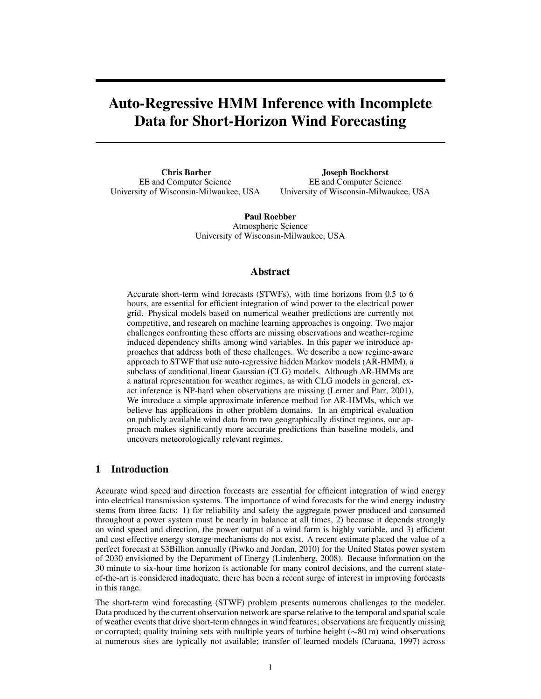# Auto-Regressive HMM Inference with Incomplete Data for Short-Horizon Wind Forecasting

Chris Barber EE and Computer Science University of Wisconsin-Milwaukee, USA

Joseph Bockhorst EE and Computer Science University of Wisconsin-Milwaukee, USA

Paul Roebber Atmospheric Science University of Wisconsin-Milwaukee, USA

## Abstract

Accurate short-term wind forecasts (STWFs), with time horizons from 0.5 to 6 hours, are essential for efficient integration of wind power to the electrical power grid. Physical models based on numerical weather predictions are currently not competitive, and research on machine learning approaches is ongoing. Two major challenges confronting these efforts are missing observations and weather-regime induced dependency shifts among wind variables. In this paper we introduce approaches that address both of these challenges. We describe a new regime-aware approach to STWF that use auto-regressive hidden Markov models (AR-HMM), a subclass of conditional linear Gaussian (CLG) models. Although AR-HMMs are a natural representation for weather regimes, as with CLG models in general, exact inference is NP-hard when observations are missing (Lerner and Parr, 2001). We introduce a simple approximate inference method for AR-HMMs, which we believe has applications in other problem domains. In an empirical evaluation on publicly available wind data from two geographically distinct regions, our approach makes significantly more accurate predictions than baseline models, and uncovers meteorologically relevant regimes.

# 1 Introduction

Accurate wind speed and direction forecasts are essential for efficient integration of wind energy into electrical transmission systems. The importance of wind forecasts for the wind energy industry stems from three facts: 1) for reliability and safety the aggregate power produced and consumed throughout a power system must be nearly in balance at all times, 2) because it depends strongly on wind speed and direction, the power output of a wind farm is highly variable, and 3) efficient and cost effective energy storage mechanisms do not exist. A recent estimate placed the value of a perfect forecast at \$3Billion annually (Piwko and Jordan, 2010) for the United States power system of 2030 envisioned by the Department of Energy (Lindenberg, 2008). Because information on the 30 minute to six-hour time horizon is actionable for many control decisions, and the current stateof-the-art is considered inadequate, there has been a recent surge of interest in improving forecasts in this range.

The short-term wind forecasting (STWF) problem presents numerous challenges to the modeler. Data produced by the current observation network are sparse relative to the temporal and spatial scale of weather events that drive short-term changes in wind features; observations are frequently missing or corrupted; quality training sets with multiple years of turbine height (∼80 m) wind observations at numerous sites are typically not available; transfer of learned models (Caruana, 1997) across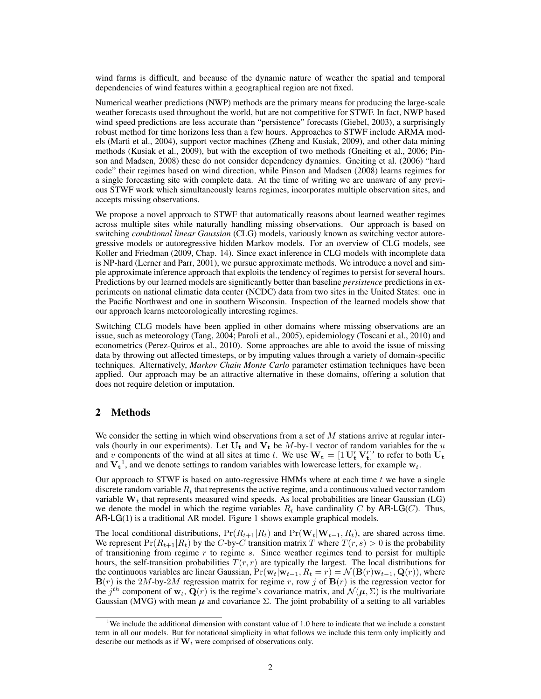wind farms is difficult, and because of the dynamic nature of weather the spatial and temporal dependencies of wind features within a geographical region are not fixed.

Numerical weather predictions (NWP) methods are the primary means for producing the large-scale weather forecasts used throughout the world, but are not competitive for STWF. In fact, NWP based wind speed predictions are less accurate than "persistence" forecasts (Giebel, 2003), a surprisingly robust method for time horizons less than a few hours. Approaches to STWF include ARMA models (Marti et al., 2004), support vector machines (Zheng and Kusiak, 2009), and other data mining methods (Kusiak et al., 2009), but with the exception of two methods (Gneiting et al., 2006; Pinson and Madsen, 2008) these do not consider dependency dynamics. Gneiting et al. (2006) "hard code" their regimes based on wind direction, while Pinson and Madsen (2008) learns regimes for a single forecasting site with complete data. At the time of writing we are unaware of any previous STWF work which simultaneously learns regimes, incorporates multiple observation sites, and accepts missing observations.

We propose a novel approach to STWF that automatically reasons about learned weather regimes across multiple sites while naturally handling missing observations. Our approach is based on switching *conditional linear Gaussian* (CLG) models, variously known as switching vector autoregressive models or autoregressive hidden Markov models. For an overview of CLG models, see Koller and Friedman (2009, Chap. 14). Since exact inference in CLG models with incomplete data is NP-hard (Lerner and Parr, 2001), we pursue approximate methods. We introduce a novel and simple approximate inference approach that exploits the tendency of regimes to persist for several hours. Predictions by our learned models are significantly better than baseline *persistence* predictions in experiments on national climatic data center (NCDC) data from two sites in the United States: one in the Pacific Northwest and one in southern Wisconsin. Inspection of the learned models show that our approach learns meteorologically interesting regimes.

Switching CLG models have been applied in other domains where missing observations are an issue, such as meteorology (Tang, 2004; Paroli et al., 2005), epidemiology (Toscani et al., 2010) and econometrics (Perez-Quiros et al., 2010). Some approaches are able to avoid the issue of missing data by throwing out affected timesteps, or by imputing values through a variety of domain-specific techniques. Alternatively, *Markov Chain Monte Carlo* parameter estimation techniques have been applied. Our approach may be an attractive alternative in these domains, offering a solution that does not require deletion or imputation.

# 2 Methods

We consider the setting in which wind observations from a set of  $M$  stations arrive at regular intervals (hourly in our experiments). Let  $U_t$  and  $V_t$  be  $M$ -by-1 vector of random variables for the  $u$ and v components of the wind at all sites at time t. We use  $W_t = [1 U'_t V'_t]'$  to refer to both  $U_t$ and  $V_t^1$ , and we denote settings to random variables with lowercase letters, for example  $w_t$ .

Our approach to STWF is based on auto-regressive HMMs where at each time  $t$  we have a single discrete random variable  $R_t$  that represents the active regime, and a continuous valued vector random variable  $W_t$  that represents measured wind speeds. As local probabilities are linear Gaussian (LG) we denote the model in which the regime variables  $R_t$  have cardinality C by AR-LG(C). Thus, AR-LG(1) is a traditional AR model. Figure 1 shows example graphical models.

The local conditional distributions,  $Pr(R_{t+1}|R_t)$  and  $Pr(\mathbf{W}_t|\mathbf{W}_{t-1}, R_t)$ , are shared across time. We represent  $Pr(R_{t+1}|R_t)$  by the C-by-C transition matrix T where  $T(r, s) > 0$  is the probability of transitioning from regime  $r$  to regime  $s$ . Since weather regimes tend to persist for multiple hours, the self-transition probabilities  $T(r, r)$  are typically the largest. The local distributions for the continuous variables are linear Gaussian,  $Pr(\mathbf{w}_t|\mathbf{w}_{t-1}, R_t = r) = \mathcal{N}(\mathbf{B}(r)\mathbf{w}_{t-1}, \mathbf{Q}(r))$ , where  $\mathbf{B}(r)$  is the 2M-by-2M regression matrix for regime r, row j of  $\mathbf{B}(r)$  is the regression vector for the  $j^{th}$  component of  $w_t$ ,  $\dot{Q}(r)$  is the regime's covariance matrix, and  $\mathcal{N}(\mu, \Sigma)$  is the multivariate Gaussian (MVG) with mean  $\mu$  and covariance  $\Sigma$ . The joint probability of a setting to all variables

<sup>&</sup>lt;sup>1</sup>We include the additional dimension with constant value of 1.0 here to indicate that we include a constant term in all our models. But for notational simplicity in what follows we include this term only implicitly and describe our methods as if  $W_t$  were comprised of observations only.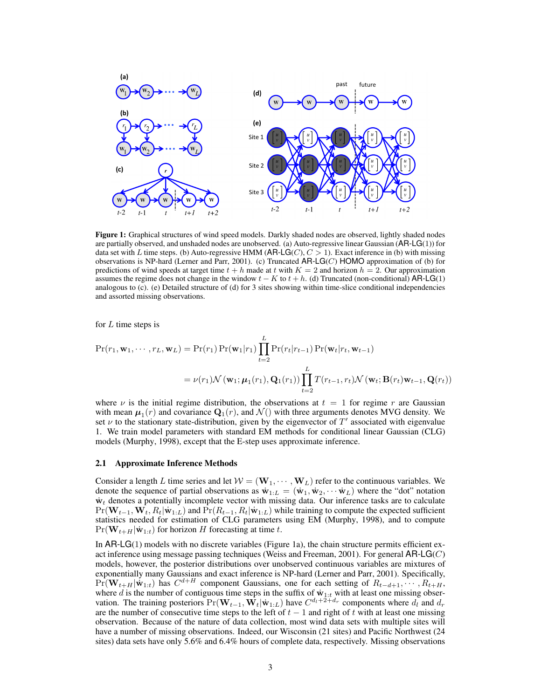

Figure 1: Graphical structures of wind speed models. Darkly shaded nodes are observed, lightly shaded nodes are partially observed, and unshaded nodes are unobserved. (a) Auto-regressive linear Gaussian (AR-LG(1)) for data set with L time steps. (b) Auto-regressive HMM ( $AR\text{-}LG(C)$ ,  $C > 1$ ). Exact inference in (b) with missing observations is NP-hard (Lerner and Parr, 2001). (c) Truncated AR-LG(C) HOMO approximation of (b) for predictions of wind speeds at target time  $t + h$  made at t with  $K = 2$  and horizon  $h = 2$ . Our approximation assumes the regime does not change in the window  $t - K$  to  $t + h$ . (d) Truncated (non-conditional) AR-LG(1) analogous to (c). (e) Detailed structure of (d) for 3 sites showing within time-slice conditional independencies and assorted missing observations.

for  $L$  time steps is

$$
Pr(r_1, \mathbf{w}_1, \cdots, r_L, \mathbf{w}_L) = Pr(r_1) Pr(\mathbf{w}_1|r_1) \prod_{t=2}^{L} Pr(r_t|r_{t-1}) Pr(\mathbf{w}_t|r_t, \mathbf{w}_{t-1})
$$

$$
= \nu(r_1) \mathcal{N}(\mathbf{w}_1; \boldsymbol{\mu}_1(r_1), \mathbf{Q}_1(r_1)) \prod_{t=2}^{L} T(r_{t-1}, r_t) \mathcal{N}(\mathbf{w}_t; \mathbf{B}(r_t) \mathbf{w}_{t-1}, \mathbf{Q}(r_t))
$$

where  $\nu$  is the initial regime distribution, the observations at  $t = 1$  for regime r are Gaussian with mean  $\mu_1(r)$  and covariance  $\mathbf{Q}_1(r)$ , and  $\mathcal{N}(r)$  with three arguments denotes MVG density. We set  $\nu$  to the stationary state-distribution, given by the eigenvector of  $T'$  associated with eigenvalue 1. We train model parameters with standard EM methods for conditional linear Gaussian (CLG) models (Murphy, 1998), except that the E-step uses approximate inference.

#### 2.1 Approximate Inference Methods

Consider a length L time series and let  $W = (\mathbf{W}_1, \dots, \mathbf{W}_L)$  refer to the continuous variables. We denote the sequence of partial observations as  $\mathbf{w}_{1:L} = (\mathbf{w}_1, \mathbf{w}_2, \cdots, \mathbf{w}_L)$  where the "dot" notation  $\dot{w}_t$  denotes a potentially incomplete vector with missing data. Our inference tasks are to calculate  $Pr(\mathbf{W}_{t-1},\mathbf{W}_t, R_t|\mathbf{w}_{1:L})$  and  $Pr(R_{t-1}, R_t|\mathbf{w}_{1:L})$  while training to compute the expected sufficient statistics needed for estimation of CLG parameters using EM (Murphy, 1998), and to compute  $Pr(\mathbf{W}_{t+H}|\mathbf{w}_{1:t})$  for horizon H forecasting at time t.

In  $AR-LG(1)$  models with no discrete variables (Figure 1a), the chain structure permits efficient exact inference using message passing techniques (Weiss and Freeman, 2001). For general  $AR\text{-}LG(C)$ models, however, the posterior distributions over unobserved continuous variables are mixtures of exponentially many Gaussians and exact inference is NP-hard (Lerner and Parr, 2001). Specifically,  $Pr(\mathbf{W}_{t+H}|\mathbf{w}_{1:t})$  has  $C^{d+H}$  component Gaussians, one for each setting of  $R_{t-d+1}, \dots, R_{t+H}$ , where d is the number of contiguous time steps in the suffix of  $\dot{w}_{1:t}$  with at least one missing observation. The training posteriors  $Pr(\mathbf{W}_{t-1}, \mathbf{W}_t | \dot{\mathbf{w}}_{1:L})$  have  $C^{d_t+2+d_r}$  components where  $d_l$  and  $d_r$ are the number of consecutive time steps to the left of  $t - 1$  and right of t with at least one missing observation. Because of the nature of data collection, most wind data sets with multiple sites will have a number of missing observations. Indeed, our Wisconsin (21 sites) and Pacific Northwest (24 sites) data sets have only 5.6% and 6.4% hours of complete data, respectively. Missing observations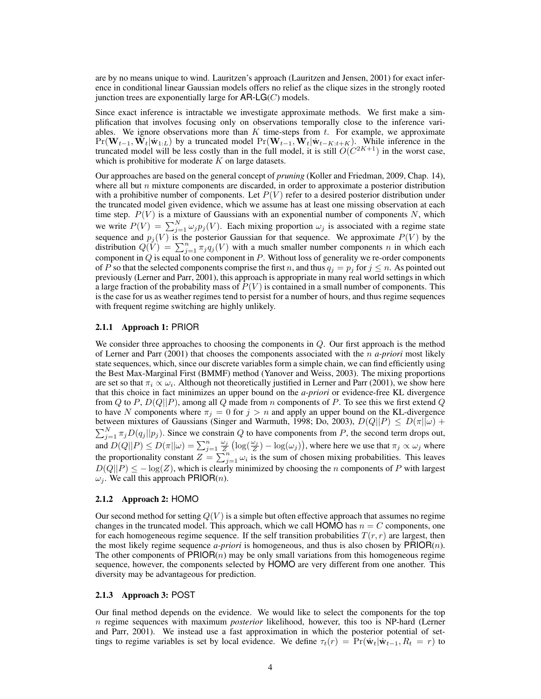are by no means unique to wind. Lauritzen's approach (Lauritzen and Jensen, 2001) for exact inference in conditional linear Gaussian models offers no relief as the clique sizes in the strongly rooted junction trees are exponentially large for  $AR-LG(C)$  models.

Since exact inference is intractable we investigate approximate methods. We first make a simplification that involves focusing only on observations temporally close to the inference variables. We ignore observations more than  $K$  time-steps from  $t$ . For example, we approximate  $Pr(\mathbf{W}_{t-1},\mathbf{W}_t|\mathbf{w}_{1:L})$  by a truncated model  $Pr(\mathbf{W}_{t-1},\mathbf{W}_t|\mathbf{w}_{t-K:t+K})$ . While inference in the truncated model will be less costly than in the full model, it is still  $O(C^{2K+1})$  in the worst case, which is prohibitive for moderate  $K$  on large datasets.

Our approaches are based on the general concept of *pruning* (Koller and Friedman, 2009, Chap. 14), where all but  $n$  mixture components are discarded, in order to approximate a posterior distribution with a prohibitive number of components. Let  $P(V)$  refer to a desired posterior distribution under the truncated model given evidence, which we assume has at least one missing observation at each time step.  $P(V)$  is a mixture of Gaussians with an exponential number of components N, which we write  $P(V) = \sum_{j=1}^{N} \omega_j p_j(V)$ . Each mixing proportion  $\omega_j$  is associated with a regime state sequence and  $p_j(V)$  is the posterior Gaussian for that sequence. We approximate  $P(V)$  by the distribution  $Q(V) = \sum_{j=1}^{n} \pi_j q_j(V)$  with a much smaller number components n in which each component in  $Q$  is equal to one component in  $P$ . Without loss of generality we re-order components of P so that the selected components comprise the first n, and thus  $q_i = p_j$  for  $j \leq n$ . As pointed out previously (Lerner and Parr, 2001), this approach is appropriate in many real world settings in which a large fraction of the probability mass of  $P(V)$  is contained in a small number of components. This is the case for us as weather regimes tend to persist for a number of hours, and thus regime sequences with frequent regime switching are highly unlikely.

#### 2.1.1 Approach 1: PRIOR

We consider three approaches to choosing the components in  $Q$ . Our first approach is the method of Lerner and Parr (2001) that chooses the components associated with the n *a-priori* most likely state sequences, which, since our discrete variables form a simple chain, we can find efficiently using the Best Max-Marginal First (BMMF) method (Yanover and Weiss, 2003). The mixing proportions are set so that  $\pi_i \propto \omega_i$ . Although not theoretically justified in Lerner and Parr (2001), we show here that this choice in fact minimizes an upper bound on the *a-priori* or evidence-free KL divergence from Q to P,  $D(Q||P)$ , among all Q made from n components of P. To see this we first extend Q to have N components where  $\pi_j = 0$  for  $j > n$  and apply an upper bound on the KL-divergence between mixtures of Gaussians (Singer and Warmuth, 1998; Do, 2003),  $D(Q||P) \le D(\pi||\omega)$  +  $\sum_{j=1}^{N} \pi_j D(q_j || p_j)$ . Since we constrain Q to have components from P, the second term drops out, and  $D(Q||P) \le D(\pi||\omega) = \sum_{j=1}^n \frac{\omega_j}{Z} (\log(\frac{\omega_j}{Z}) - \log(\omega_j)),$  where here we use that  $\pi_j \propto \omega_j$  where the proportionality constant  $Z = \sum_{j=1}^{n} \omega_i$  is the sum of chosen mixing probabilities. This leaves  $D(Q||P) \leq -\log(Z)$ , which is clearly minimized by choosing the n components of P with largest  $\omega_i$ . We call this approach PRIOR(*n*).

#### 2.1.2 Approach 2: HOMO

Our second method for setting  $Q(V)$  is a simple but often effective approach that assumes no regime changes in the truncated model. This approach, which we call HOMO has  $n = C$  components, one for each homogeneous regime sequence. If the self transition probabilities  $T(r, r)$  are largest, then the most likely regime sequence *a-priori* is homogeneous, and thus is also chosen by PRIOR(n). The other components of  $\text{PRIOR}(n)$  may be only small variations from this homogeneous regime sequence, however, the components selected by HOMO are very different from one another. This diversity may be advantageous for prediction.

#### 2.1.3 Approach 3: POST

Our final method depends on the evidence. We would like to select the components for the top n regime sequences with maximum *posterior* likelihood, however, this too is NP-hard (Lerner and Parr, 2001). We instead use a fast approximation in which the posterior potential of settings to regime variables is set by local evidence. We define  $\tau_t(r) = \Pr(\dot{w}_t|\dot{w}_{t-1}, R_t = r)$  to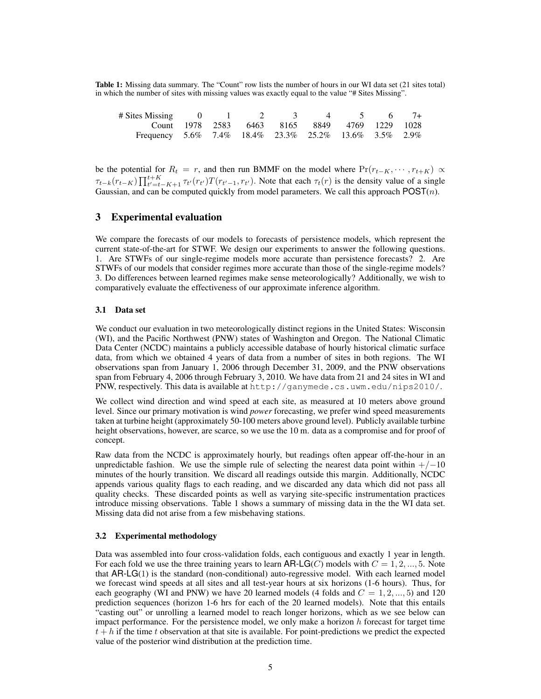Table 1: Missing data summary. The "Count" row lists the number of hours in our WI data set (21 sites total) in which the number of sites with missing values was exactly equal to the value "# Sites Missing".

| # Sites Missing 0 1 2 3 4 5 6 7+                      |  |  |                                               |  |  |
|-------------------------------------------------------|--|--|-----------------------------------------------|--|--|
|                                                       |  |  | Count 1978 2583 6463 8165 8849 4769 1229 1028 |  |  |
| Frequency 5.6% 7.4% 18.4% 23.3% 25.2% 13.6% 3.5% 2.9% |  |  |                                               |  |  |

be the potential for  $R_t = r$ , and then run BMMF on the model where  $Pr(r_{t-K}, \dots, r_{t+K}) \propto$  $\tau_{t-k}(r_{t-K}) \prod_{t'=t-K+1}^{t+K} \tau_{t'}(r_{t'}) T(r_{t'-1}, r_{t'})$ . Note that each  $\tau_t(r)$  is the density value of a single Gaussian, and can be computed quickly from model parameters. We call this approach  $POST(n)$ .

# 3 Experimental evaluation

We compare the forecasts of our models to forecasts of persistence models, which represent the current state-of-the-art for STWF. We design our experiments to answer the following questions. 1. Are STWFs of our single-regime models more accurate than persistence forecasts? 2. Are STWFs of our models that consider regimes more accurate than those of the single-regime models? 3. Do differences between learned regimes make sense meteorologically? Additionally, we wish to comparatively evaluate the effectiveness of our approximate inference algorithm.

## 3.1 Data set

We conduct our evaluation in two meteorologically distinct regions in the United States: Wisconsin (WI), and the Pacific Northwest (PNW) states of Washington and Oregon. The National Climatic Data Center (NCDC) maintains a publicly accessible database of hourly historical climatic surface data, from which we obtained 4 years of data from a number of sites in both regions. The WI observations span from January 1, 2006 through December 31, 2009, and the PNW observations span from February 4, 2006 through February 3, 2010. We have data from 21 and 24 sites in WI and PNW, respectively. This data is available at http://ganymede.cs.uwm.edu/nips2010/.

We collect wind direction and wind speed at each site, as measured at 10 meters above ground level. Since our primary motivation is wind *power* forecasting, we prefer wind speed measurements taken at turbine height (approximately 50-100 meters above ground level). Publicly available turbine height observations, however, are scarce, so we use the 10 m. data as a compromise and for proof of concept.

Raw data from the NCDC is approximately hourly, but readings often appear off-the-hour in an unpredictable fashion. We use the simple rule of selecting the nearest data point within  $+/-10$ minutes of the hourly transition. We discard all readings outside this margin. Additionally, NCDC appends various quality flags to each reading, and we discarded any data which did not pass all quality checks. These discarded points as well as varying site-specific instrumentation practices introduce missing observations. Table 1 shows a summary of missing data in the the WI data set. Missing data did not arise from a few misbehaving stations.

## 3.2 Experimental methodology

Data was assembled into four cross-validation folds, each contiguous and exactly 1 year in length. For each fold we use the three training years to learn AR-LG(C) models with  $C = 1, 2, ..., 5$ . Note that AR-LG(1) is the standard (non-conditional) auto-regressive model. With each learned model we forecast wind speeds at all sites and all test-year hours at six horizons (1-6 hours). Thus, for each geography (WI and PNW) we have 20 learned models (4 folds and  $C = 1, 2, ..., 5$ ) and 120 prediction sequences (horizon 1-6 hrs for each of the 20 learned models). Note that this entails "casting out" or unrolling a learned model to reach longer horizons, which as we see below can impact performance. For the persistence model, we only make a horizon  $h$  forecast for target time  $t + h$  if the time t observation at that site is available. For point-predictions we predict the expected value of the posterior wind distribution at the prediction time.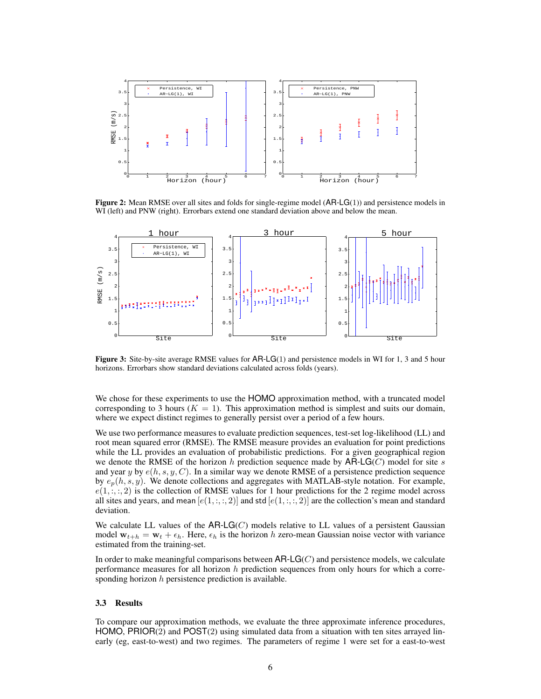

Figure 2: Mean RMSE over all sites and folds for single-regime model (AR-LG(1)) and persistence models in WI (left) and PNW (right). Errorbars extend one standard deviation above and below the mean.



Figure 3: Site-by-site average RMSE values for AR-LG(1) and persistence models in WI for 1, 3 and 5 hour horizons. Errorbars show standard deviations calculated across folds (years).

We chose for these experiments to use the HOMO approximation method, with a truncated model corresponding to 3 hours ( $K = 1$ ). This approximation method is simplest and suits our domain, where we expect distinct regimes to generally persist over a period of a few hours.

We use two performance measures to evaluate prediction sequences, test-set log-likelihood (LL) and root mean squared error (RMSE). The RMSE measure provides an evaluation for point predictions while the LL provides an evaluation of probabilistic predictions. For a given geographical region we denote the RMSE of the horizon h prediction sequence made by  $AR\text{-}LG(C)$  model for site s and year y by  $e(h, s, y, C)$ . In a similar way we denote RMSE of a persistence prediction sequence by  $e_p(h, s, y)$ . We denote collections and aggregates with MATLAB-style notation. For example,  $e(1, \ldots, 2)$  is the collection of RMSE values for 1 hour predictions for the 2 regime model across all sites and years, and mean  $[e(1, \ldots, 2)]$  and std  $[e(1, \ldots, 2)]$  are the collection's mean and standard deviation.

We calculate LL values of the  $AR\text{-}\mathrm{LG}(C)$  models relative to LL values of a persistent Gaussian model  $w_{t+h} = w_t + \epsilon_h$ . Here,  $\epsilon_h$  is the horizon h zero-mean Gaussian noise vector with variance estimated from the training-set.

In order to make meaningful comparisons between  $AR\text{-}LG(C)$  and persistence models, we calculate performance measures for all horizon  $h$  prediction sequences from only hours for which a corresponding horizon  $h$  persistence prediction is available.

#### 3.3 Results

To compare our approximation methods, we evaluate the three approximate inference procedures, HOMO, PRIOR(2) and POST(2) using simulated data from a situation with ten sites arrayed linearly (eg, east-to-west) and two regimes. The parameters of regime 1 were set for a east-to-west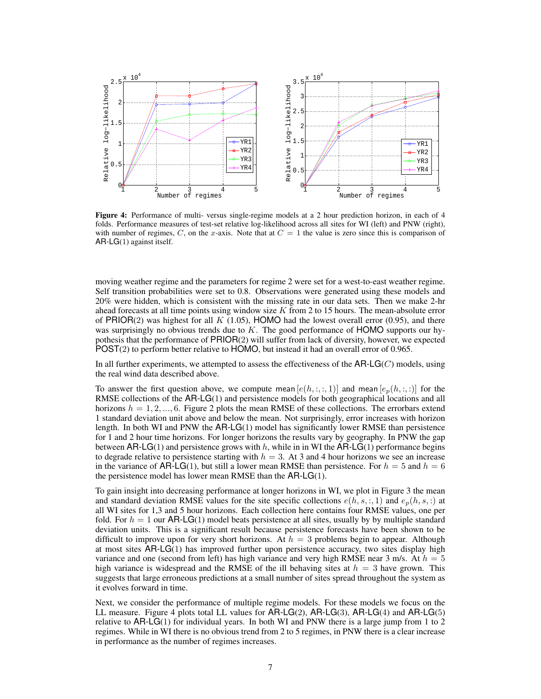

Figure 4: Performance of multi- versus single-regime models at a 2 hour prediction horizon, in each of 4 folds. Performance measures of test-set relative log-likelihood across all sites for WI (left) and PNW (right), with number of regimes,  $C$ , on the x-axis. Note that at  $C = 1$  the value is zero since this is comparison of AR-LG(1) against itself.

moving weather regime and the parameters for regime 2 were set for a west-to-east weather regime. Self transition probabilities were set to 0.8. Observations were generated using these models and 20% were hidden, which is consistent with the missing rate in our data sets. Then we make 2-hr ahead forecasts at all time points using window size  $K$  from 2 to 15 hours. The mean-absolute error of PRIOR(2) was highest for all  $K$  (1.05), HOMO had the lowest overall error (0.95), and there was surprisingly no obvious trends due to  $K$ . The good performance of HOMO supports our hypothesis that the performance of PRIOR(2) will suffer from lack of diversity, however, we expected POST(2) to perform better relative to HOMO, but instead it had an overall error of 0.965.

In all further experiments, we attempted to assess the effectiveness of the  $AR-LG(C)$  models, using the real wind data described above.

To answer the first question above, we compute mean  $[e(h, \dots, 1)]$  and mean  $[e_p(h, \dots, 1)]$  for the RMSE collections of the AR-LG(1) and persistence models for both geographical locations and all horizons  $h = 1, 2, ..., 6$ . Figure 2 plots the mean RMSE of these collections. The errorbars extend 1 standard deviation unit above and below the mean. Not surprisingly, error increases with horizon length. In both WI and PNW the AR-LG(1) model has significantly lower RMSE than persistence for 1 and 2 hour time horizons. For longer horizons the results vary by geography. In PNW the gap between AR-LG(1) and persistence grows with h, while in in WI the AR-LG(1) performance begins to degrade relative to persistence starting with  $h = 3$ . At 3 and 4 hour horizons we see an increase in the variance of AR-LG(1), but still a lower mean RMSE than persistence. For  $h = 5$  and  $h = 6$ the persistence model has lower mean RMSE than the  $AR-LG(1)$ .

To gain insight into decreasing performance at longer horizons in WI, we plot in Figure 3 the mean and standard deviation RMSE values for the site specific collections  $e(h, s, :, 1)$  and  $e_n(h, s, :)$  at all WI sites for 1,3 and 5 hour horizons. Each collection here contains four RMSE values, one per fold. For  $h = 1$  our AR-LG(1) model beats persistence at all sites, usually by by multiple standard deviation units. This is a significant result because persistence forecasts have been shown to be difficult to improve upon for very short horizons. At  $h = 3$  problems begin to appear. Although at most sites AR-LG(1) has improved further upon persistence accuracy, two sites display high variance and one (second from left) has high variance and very high RMSE near 3 m/s. At  $h = 5$ high variance is widespread and the RMSE of the ill behaving sites at  $h = 3$  have grown. This suggests that large erroneous predictions at a small number of sites spread throughout the system as it evolves forward in time.

Next, we consider the performance of multiple regime models. For these models we focus on the LL measure. Figure 4 plots total LL values for  $AR\text{-LG}(2)$ ,  $AR\text{-LG}(3)$ ,  $AR\text{-LG}(4)$  and  $AR\text{-LG}(5)$ relative to  $AR\text{-}LG(1)$  for individual years. In both WI and PNW there is a large jump from 1 to 2 regimes. While in WI there is no obvious trend from 2 to 5 regimes, in PNW there is a clear increase in performance as the number of regimes increases.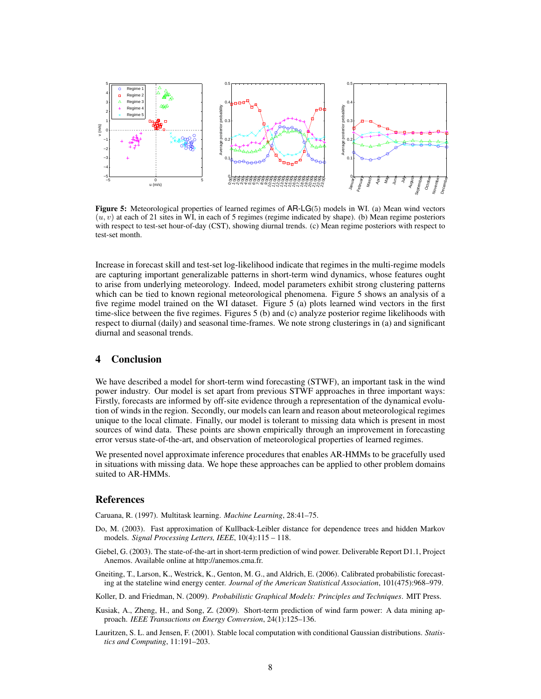

Figure 5: Meteorological properties of learned regimes of AR-LG(5) models in WI. (a) Mean wind vectors  $(u, v)$  at each of 21 sites in WI, in each of 5 regimes (regime indicated by shape). (b) Mean regime posteriors with respect to test-set hour-of-day (CST), showing diurnal trends. (c) Mean regime posteriors with respect to test-set month.

Increase in forecast skill and test-set log-likelihood indicate that regimes in the multi-regime models are capturing important generalizable patterns in short-term wind dynamics, whose features ought to arise from underlying meteorology. Indeed, model parameters exhibit strong clustering patterns which can be tied to known regional meteorological phenomena. Figure 5 shows an analysis of a five regime model trained on the WI dataset. Figure 5 (a) plots learned wind vectors in the first time-slice between the five regimes. Figures 5 (b) and (c) analyze posterior regime likelihoods with respect to diurnal (daily) and seasonal time-frames. We note strong clusterings in (a) and significant diurnal and seasonal trends.

# 4 Conclusion

We have described a model for short-term wind forecasting (STWF), an important task in the wind power industry. Our model is set apart from previous STWF approaches in three important ways: Firstly, forecasts are informed by off-site evidence through a representation of the dynamical evolution of winds in the region. Secondly, our models can learn and reason about meteorological regimes unique to the local climate. Finally, our model is tolerant to missing data which is present in most sources of wind data. These points are shown empirically through an improvement in forecasting error versus state-of-the-art, and observation of meteorological properties of learned regimes.

We presented novel approximate inference procedures that enables AR-HMMs to be gracefully used in situations with missing data. We hope these approaches can be applied to other problem domains suited to AR-HMMs.

## References

Caruana, R. (1997). Multitask learning. *Machine Learning*, 28:41–75.

- Do, M. (2003). Fast approximation of Kullback-Leibler distance for dependence trees and hidden Markov models. *Signal Processing Letters, IEEE*, 10(4):115 – 118.
- Giebel, G. (2003). The state-of-the-art in short-term prediction of wind power. Deliverable Report D1.1, Project Anemos. Available online at http://anemos.cma.fr.
- Gneiting, T., Larson, K., Westrick, K., Genton, M. G., and Aldrich, E. (2006). Calibrated probabilistic forecasting at the stateline wind energy center. *Journal of the American Statistical Association*, 101(475):968–979.

Koller, D. and Friedman, N. (2009). *Probabilistic Graphical Models: Principles and Techniques*. MIT Press.

- Kusiak, A., Zheng, H., and Song, Z. (2009). Short-term prediction of wind farm power: A data mining approach. *IEEE Transactions on Energy Conversion*, 24(1):125–136.
- Lauritzen, S. L. and Jensen, F. (2001). Stable local computation with conditional Gaussian distributions. *Statistics and Computing*, 11:191–203.